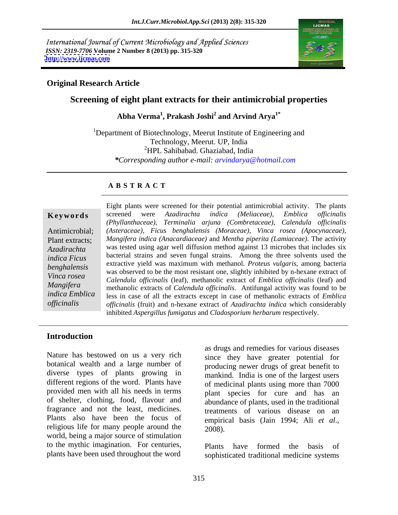International Journal of Current Microbiology and Applied Sciences *ISSN: 2319-7706* **Volume 2 Number 8 (2013) pp. 315-320 <http://www.ijcmas.com>**



### **Original Research Article**

# **Screening of eight plant extracts for their antimicrobial properties**

**Abha Verma<sup>1</sup> , Prakash Joshi<sup>2</sup> and Arvind Arya1\***

<sup>1</sup>Department of Biotechnology, Meerut Institute of Engineering and Technology, Meerut. UP, India <sup>2</sup>HPL Sahibabad. Ghaziabad, India *\*Corresponding author e-mail: arvindarya@hotmail.com*

### **A B S T R A C T**

**Keywords** screened were Azadirachta indica (Meliaceae), Emblica officinalis Antimicrobial; *(Asteraceae), Ficus benghalensis (Moraceae), Vinca rosea (Apocynaceae),* Plant extracts; *Mangifera indica (Anacardiaceae)* and *Mentha piperita (Lamiaceae)*. The activity *Azadirachta*  was tested using agar well diffusion method against 13 microbes that includes six *indica Ficus* bacterial strains and seven fungal strains. Among the three solvents used the *benghalensis*<br>
was observed to be the most resistant one, slightly inhibited by n-hexane extract of *Vinca rosea* and *Calendula officinalis* (leaf), methanolic extract of *Emblica officinalis* (leaf) and *Calendula officinalis* (leaf) and *Mangifera* methanolic extracts of *Calendula officinalis*. Antifungal activity was found to be *indica Emblica*  less in case of all the extracts except in case of methanolic extracts of *Emblica officinalis officinalis* (fruit) and n-hexane extract of *Azadirachta indica* which considerably Eight plants were screened for their potential antimicrobial activity. The plants screened were *Azadirachta indica (Meliaceae), Emblica of icinalis (Phyllanthaceae), Terminalia arjuna (Combretaceae), Calendula of icinalis* extractive yield was maximum with methanol. *Proteus vulgaris*, among bacteria inhibited *Aspergillus fumigatus* and *Cladosporium herbarum* respectively.

### **Introduction**

Nature has bestowed on us a very rich botanical wealth and a large number of diverse types of plants growing in different regions of the word. Plants have provided men with all his needs in terms of shelter, clothing, food, flavour and fragrance and not the least, medicines. Plants also have been the focus of religious life for many people around the  $2008$ . world, being a major source of stimulation to the mythic imagination. For centuries,

as drugs and remedies for various diseases since they have greater potential for producing newer drugs of great benefit to mankind. India is one of the largest users of medicinal plants using more than 7000 plant species for cure and has an abundance of plants, used in the traditional treatments of various disease on an empirical basis (Jain 1994; Ali *et al*., 2008).

plants have been used throughout the word sophisticated traditional medicine systems Plants have formed the basis of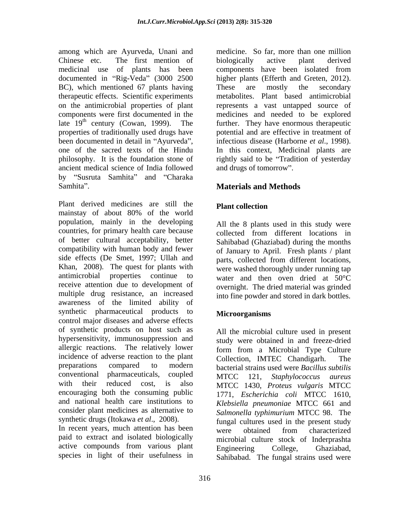among which are Ayurveda, Unani and medicinal use of plants has been documented in "Rig-Veda" (3000 2500 higher plants (Efferth and Greten, 2012). BC), which mentioned 67 plants having These are mostly the secondary on the antimicrobial properties of plant late  $19<sup>th</sup>$  century (Cowan, 1999). The properties of traditionally used drugs have been documented in detail in "Ayurveda", infectious disease (Harborne et al., 1998). one of the sacred texts of the Hindu ancient medical science of India followed by "Susruta Samhita" and "Charaka Samhita". **Materials and Methods Materials and Methods** 

Plant derived medicines are still the **Plant collection** mainstay of about 80% of the world population, mainly in the developing countries, for primary health care because collected from different locations in of better cultural acceptability, better compatibility with human body and fewer side effects (De Smet, 1997; Ullah and Khan, 2008). The quest for plants with antimicrobial properties continue to water and then oven dried at 50°C receive attention due to development of multiple drug resistance, an increased awareness of the limited ability of synthetic pharmaceutical products to **Microorganisms** control major diseases and adverse effects of synthetic products on host such as hypersensitivity, immunosuppression and allergic reactions. The relatively lower incidence of adverse reaction to the plant <br>Collection. IMTEC Chandigarh. The preparations compared to modern bacterial strains used were *Bacillus subtilis* conventional pharmaceuticals, coupled MTCC 121 Stanhylococcus qureus with their reduced cost, is also MTCC 1430, *Proteus vulgaris* MTCC encouraging both the consuming public and national health care institutions to consider plant medicines as alternative to

active compounds from various plant Engineering College, Ghaziabad, species in light of their usefulness in

Chinese etc. The first mention of biologically active plant derived therapeutic effects. Scientific experiments metabolites. Plant based antimicrobial components were first documented in the medicines and needed to be explored century (Cowan, 1999). The further. They have enormous therapeutic philosophy. It is the foundation stone of rightly said to be Tradition of yesterday medicine. So far, more than one million biologically active plant derived components have been isolated from higher plants (Efferth and Greten, 2012).<br>These are mostly the secondary represents a vast untapped source of potential and are effective in treatment of infectious disease (Harborne *et al*., 1998). In this context, Medicinal plants are and drugs of tomorrow".

# **Plant collection**

All the 8 plants used in this study were collected from different locations in Sahibabad (Ghaziabad) during the months of January to April. Fresh plants / plant parts, collected from different locations, were washed thoroughly under running tap overnight. The dried material was grinded into fine powder and stored in dark bottles.

## **Microorganisms**

synthetic drugs (Itokawa *et al.*, 2008). <br>In recent years, much attention has been were obtained from characterized paid to extract and isolated biologically microbial culture stock of Inderprashta All the microbial culture used in present study were obtained in and freeze-dried form from a Microbial Type Culture Collection, IMTEC Chandigarh. MTCC 121, *Staphylococcus aureus* 1771, *Escherichia coli* MTCC 1610, *Klebsiella pneumoniae* MTCC 661 and *Salmonella typhimurium* MTCC 98. The fungal cultures used in the present study were obtained from characterized Engineering College, Ghaziabad, Sahibabad. The fungal strains used were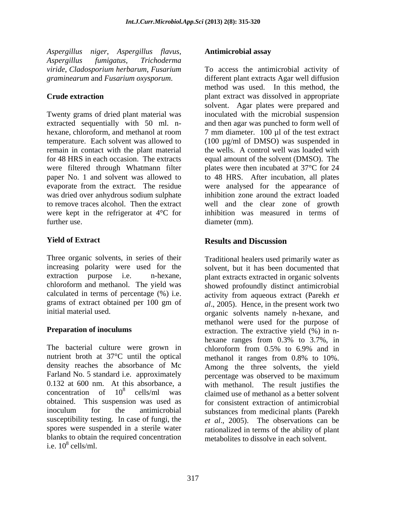*Aspergillus niger*, *Aspergillus flavus*, *Aspergillus fumigatus*, *Trichoderma* 

Twenty grams of dried plant material was extracted sequentially with 50 ml. n-<br>hexane, chloroform, and methanol at room 7 mm diameter. 100 µl of the test extract hexane, chloroform, and methanol at room  $\frac{7 \text{ mm diameter}}{100 \mu}$  of the test extract temperature. Each solvent was allowed to (100 µg/ml of DMSO) was suspended in remain in contact with the plant material for 48 HRS in each occasion. The extracts equal amount of the solvent (DMSO). The were filtered through Whatmann filter plates were then incubated at 37°C for 24 paper No. 1 and solvent was allowed to to 48 HRS. After incubation, all plates evaporate from the extract. The residue were analysed for the appearance of was dried over anhydrous sodium sulphate to remove traces alcohol. Then the extract well and the clear zone of growth were kept in the refrigerator at 4°C for inhibition was measured in terms of further use.  $diameter (mm)$ .

Three organic solvents, in series of their

The bacterial culture were grown in chloroform from 0.5% to 6.9% and in nutrient broth at 37°C until the optical methanol it ranges from 0.8% to 10%. density reaches the absorbance of Mc Among the three solvents, the yield Farland No. 5 standard i.e. approximately percentage was observed to be maximum 0.132 at 600 nm. At this absorbance, a with methanol. The result justifies the  $\frac{10^8}{200}$  cells/ml was claimed use of methanol as a better solvent obtained. This suspension was used as for consistent extraction of antimicrobial inoculum for the antimicrobial substances from medicinal plants (Parekh susceptibility testing. In case of fungi, the *et al*., 2005). The observations can be spores were suspended in a sterile water rationalized in terms of the ability of plant blanks to obtain the required concentration<br>i.e.  $10^8$  cells/ml. i.e.  $10^8$  cells/ml. cells/ml.

### **Antimicrobial assay**

*viride*, *Cladosporium herbarum*, *Fusarium*  To access the antimicrobial activity of *graminearum* and *Fusarium oxysporum*. different plant extracts Agar well diffusion **Crude extraction plant extract was dissolved in appropriate** method was used. In this method, the solvent. Agar plates were prepared and inoculated with the microbial suspension and then agar was punched to form well of the wells. A control well was loaded with inhibition zone around the extract loaded diameter (mm).

### **Yield of Extract Nextract Results** and **Discussion Results and Discussion**

increasing polarity were used for the solvent, but it has been documented that extraction purpose i.e. n-hexane, plant extracts extracted in organic solvents chloroform and methanol. The yield was showed profoundly distinct antimicrobial calculated in terms of percentage (%) i.e. activity from aqueous extract (Parekh *et*  grams of extract obtained per 100 gm of *al*., 2005). Hence, in the present work two initial material used. organic solvents namely n-hexane, and **Preparation of inoculums** extraction. The extractive yield  $(\% )$  in n-Traditional healers used primarily water as methanol were used for the purpose of hexane ranges from 0.3% to 3.7%, in chloroform from 0.5% to 6.9% and in methanol it ranges from 0.8% to 10%. metabolites to dissolve in each solvent.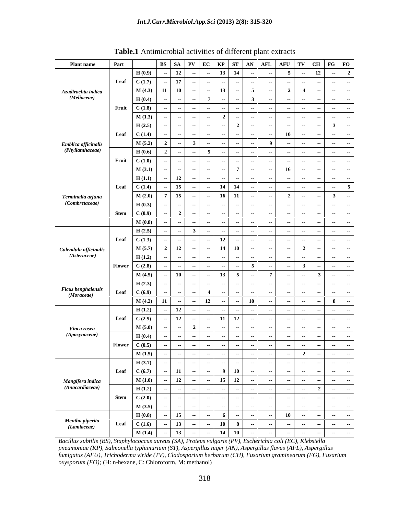| <b>Plant name</b>                   | Part                                  | BS   SA   PV   EC   KP   ST   AN   AFL   AFU   TV   CH   FG   FO |                                                                                                        |                                                      |               |                                    |
|-------------------------------------|---------------------------------------|------------------------------------------------------------------|--------------------------------------------------------------------------------------------------------|------------------------------------------------------|---------------|------------------------------------|
|                                     |                                       | H(0.9)<br>$-12$                                                  | 13 14                                                                                                  |                                                      |               |                                    |
|                                     | Leaf                                  | C(1.7)<br>$-171$                                                 |                                                                                                        | $\sim$                                               |               |                                    |
| Azadirachta indica                  |                                       | $M(4.3)$ 11 10                                                   |                                                                                                        |                                                      |               |                                    |
| (Meliaceae)                         |                                       | H(0.4)                                                           |                                                                                                        |                                                      |               |                                    |
|                                     |                                       |                                                                  |                                                                                                        |                                                      |               |                                    |
|                                     | Fruit $C(1.8)$                        |                                                                  |                                                                                                        |                                                      |               |                                    |
|                                     |                                       | M(1.3)                                                           |                                                                                                        |                                                      |               |                                    |
|                                     |                                       | H(2.5)                                                           |                                                                                                        |                                                      |               |                                    |
|                                     | Leaf $C(1.4)$                         |                                                                  |                                                                                                        |                                                      |               |                                    |
| Emblica officinalis                 |                                       | M(5.2)                                                           |                                                                                                        |                                                      |               |                                    |
| (Phyllanthaceae)                    |                                       | H(0.6)                                                           |                                                                                                        |                                                      |               |                                    |
|                                     |                                       |                                                                  |                                                                                                        |                                                      |               |                                    |
|                                     | Fruit $C(1.0)$                        |                                                                  |                                                                                                        |                                                      |               |                                    |
|                                     |                                       | M(3.1)                                                           |                                                                                                        |                                                      |               |                                    |
|                                     |                                       | H(1.1)                                                           |                                                                                                        |                                                      |               |                                    |
|                                     | Leaf $C(1.4)$                         | $-$ 15 $\pm$                                                     | 14 14                                                                                                  |                                                      |               |                                    |
| Terminalia arjuna                   |                                       | $M(2.0)$ 7 15                                                    | 16 11                                                                                                  |                                                      |               |                                    |
| (Combretaceae)                      |                                       | H(0.3)<br>$-$                                                    |                                                                                                        |                                                      |               |                                    |
|                                     | Stem                                  | C(0.9)                                                           |                                                                                                        |                                                      |               |                                    |
|                                     |                                       |                                                                  |                                                                                                        |                                                      |               |                                    |
|                                     |                                       | M(0.8)                                                           |                                                                                                        |                                                      |               |                                    |
|                                     |                                       | H(2.5)                                                           |                                                                                                        |                                                      |               |                                    |
|                                     | Leaf $C(1.3)$                         |                                                                  | 12                                                                                                     |                                                      |               |                                    |
| Calendula officinalis               |                                       | M(5.7)                                                           |                                                                                                        |                                                      |               |                                    |
| (Asteraceae)                        |                                       | H(1.2)                                                           |                                                                                                        |                                                      |               |                                    |
|                                     | Flower $\qquad \qquad$ C (2.8)        |                                                                  |                                                                                                        |                                                      |               |                                    |
|                                     |                                       | M(4.5)<br>$-10$<br>$\sim$ $-$                                    | 13 <sup>7</sup>                                                                                        |                                                      |               |                                    |
|                                     |                                       |                                                                  |                                                                                                        |                                                      |               |                                    |
| <b>Ficus benghalensis</b>           |                                       | H(2.3)                                                           |                                                                                                        |                                                      |               |                                    |
| (Moraceae)                          | Leaf $C(6.9)$                         |                                                                  |                                                                                                        |                                                      |               |                                    |
|                                     |                                       | $M(4.2)$ 11                                                      | 12                                                                                                     |                                                      |               |                                    |
|                                     |                                       | H(1.2)<br>$\sim$                                                 |                                                                                                        |                                                      |               |                                    |
|                                     | Leaf $C(2.5)$                         | $\sim$                                                           | $11$ 12                                                                                                |                                                      |               |                                    |
| Vinca rosea                         |                                       | M(5.0)                                                           |                                                                                                        |                                                      |               |                                    |
| (Apocynaceae)                       |                                       | H(0.4)                                                           |                                                                                                        |                                                      |               |                                    |
|                                     | Flower $\qquad \qquad \text{C (0.5)}$ |                                                                  |                                                                                                        |                                                      |               |                                    |
|                                     |                                       |                                                                  |                                                                                                        |                                                      |               |                                    |
|                                     |                                       | M(1.5)                                                           |                                                                                                        |                                                      |               |                                    |
|                                     |                                       | H(3.7)                                                           |                                                                                                        | $-$                                                  | $\sim$        | $\sim$ $\sim$                      |
|                                     |                                       | Leaf $C(6.7)$ - 11 -                                             | $\begin{array}{ c c c c c }\n\hline\n- & 9 & 10 & - \\ \hline\n- & 15 & 12 & - \\ \hline\n\end{array}$ |                                                      |               | $\overline{\phantom{a}}$           |
|                                     |                                       | M(1.0)<br>$-$ 12<br>the control of the control of                | —— <del>—————————————</del>                                                                            | $\sim$ $\sim$ $\sim$ $\sim$                          | $\sim$ $\sim$ | $\sim$ 1<br>$\sim$                 |
| Mangifera indica<br>(Anacardiaceae) |                                       | H(1.2)<br>$\sim$                                                 |                                                                                                        |                                                      |               | $\sim$                             |
|                                     | Stem $\qquad \qquad$ C (2.0)          | $\sim$                                                           | ----                                                                                                   | $-1$<br>$\sim$ $\sim$ $\sim$<br>$\sim$ $\sim$ $\sim$ | $\sim$ $-$    | $\sim$ $\sim$ $\sim$<br>$\sim$ $-$ |
|                                     |                                       | ________<br>M(3.5)<br>$\sim$                                     |                                                                                                        | $\sim$ $\sim$                                        | $\sim$        | $\sim$ $\sim$                      |
|                                     |                                       | H(0.8)<br>$-$ 15<br>$\sim$                                       |                                                                                                        |                                                      | 10            | the control of the control of      |
| Mentha piperita                     |                                       |                                                                  | $-$ 6 - -                                                                                              | $\sim$ $  -$                                         |               | $  -$<br>$\sim$                    |
| (Lamiaceae)                         | Leaf                                  | C(1.6)<br>$-$ 13<br>$\sim$                                       | $- 10$ 8                                                                                               | -- 1<br>$\sim$ $\sim$                                | $\sim$        | $ -$                               |
|                                     |                                       | M(1.4)<br>13<br>$\sim$<br>$\sim$                                 | $-$ 14 10                                                                                              | $\sim$ $\sim$                                        | $\sim$        |                                    |

**Table.1** Antimicrobial activities of different plant extracts

*Bacillus subtilis (BS), Staphylococcus aureus (SA), Proteus vulgaris (PV), Escherichia coli (EC), Klebsiella pneumoniae (KP), Salmonella typhimurium (ST), Aspergillus niger (AN), Aspergillus flavus (AFL), Aspergillus fumigatus (AFU), Trichoderma viride (TV), Cladosporium herbarum (CH), Fusarium graminearum (FG), Fusarium oxysporum (FO);* (H: n-hexane, C: Chloroform, M: methanol)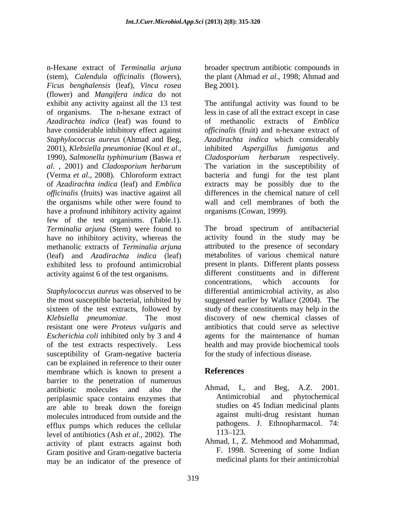(stem), *Calendula officinalis* (flowers), the plant (Ahmad *et al.*, 1998; Ahmad and *Ficus benghalensis* (leaf), *Vinca rosea* (flower) and *Mangifera indica* do not exhibit any activity against all the13 test The antifungal activity was found to be of organisms. The n-hexane extract of less in case of all the extract except in case *Azadirachta indica* (leaf) was found to have considerable inhibitory effect against *Staphylococcus aureus* (Ahmad and Beg, *Azadirachta indica* which considerably 2001)*, Klebsiella pneumoniae* (Koul *et al*., 1990)*, Salmonella typhimurium* (Baswa *et al*. , 2001) and *Cladosporium herbarum* (Verma *et al*., 2008)*.* Chloroform extract bacteria and fungi for the test plant of *Azadirachta indica* (leaf) and *Emblica* extracts may be possibly due to the *officinalis* (fruits) was inactive against all the organisms while other were found to have a profound inhibitory activity against few of the test organisms. (Table.1). *Terminalia arjuna* (Stem) were found to have no inhibitory activity, whereas the methanolic extracts of *Terminalia arjuna* (leaf) and *Azadirachta indica* (leaf) exhibited less to profound antimicrobial activity against 6 of the test organisms.

resistant one were *Proteus vulgaris* and susceptibility of Gram-negative bacteria can be explained in reference to their outer membrane which is known to present a **References** barrier to the penetration of numerous<br>applicities molecules and also the Ahmad. I., and Beg. A.Z. 2001. antibiotic molecules and also the Ahmad, I., and Beg, A.Z. 2001. periplasmic space contains enzymes that are able to break down the foreign molecules introduced from outside and the against multi-drug resistant human efflux pumps which reduces the cellular  $\frac{\text{pathogens}}{\text{113}-123}$ level of antibiotics (Ash *et al*., 2002). The activity of plant extracts against both Gram positive and Gram-negative bacteria may be an indicator of the presence of

n-Hexane extract of *Terminalia arjuna* broader spectrum antibiotic compounds in Beg 2001).

> of methanolic extracts of *Emblica officinalis* (fruit) and n-hexane extract of *inhibited Aspergillus fumigatus Cladosporium herbarum* respectively. The variation in the susceptibility of differences in the chemical nature of cell wall and cell membranes of both the organisms (Cowan, 1999).

*Staphylococcus aureus* was observed to be differential antimicrobial activity, as also the most susceptible bacterial, inhibited by suggested earlier by Wallace (2004). The sixteen of the test extracts, followed by study of these constituents may help in the *Klebsiella pneumoniae*. The most discovery of new chemical classes of *Escherichia coli* inhibited only by 3 and 4 agents for the maintenance of human of the test extracts respectively. Less health and may provide biochemical tools The broad spectrum of antibacterial activity found in the study may be attributed to the presence of secondary metabolites of various chemical nature present in plants. Different plants possess different constituents and in different concentrations, which accounts for antibiotics that could serve as selective for the study of infectious disease.

# **References**

- Ahmad, I., and Beg, A.Z. 2001. Antimicrobial and phytochemical studies on 45 Indian medicinal plants against multi-drug resistant human pathogens. J. Ethnopharmacol. 74: 113–123.
- Ahmad, I., Z. Mehmood and Mohammad, F. 1998. Screening of some Indian medicinal plants for their antimicrobial